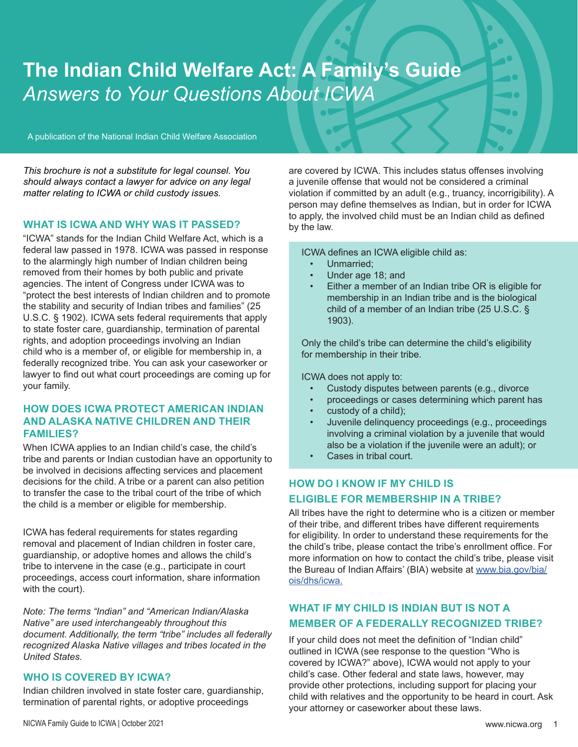# **The Indian Child Welfare Act: A Family's Guide** *Answers to Your Questions About ICWA*

A publication of the National Indian Child Welfare Association

*This brochure is not a substitute for legal counsel. You should always contact a lawyer for advice on any legal matter relating to ICWA or child custody issues.*

#### **WHAT IS ICWA AND WHY WAS IT PASSED?**

"ICWA" stands for the Indian Child Welfare Act, which is a federal law passed in 1978. ICWA was passed in response to the alarmingly high number of Indian children being removed from their homes by both public and private agencies. The intent of Congress under ICWA was to "protect the best interests of Indian children and to promote the stability and security of Indian tribes and families" (25 U.S.C. § 1902). ICWA sets federal requirements that apply to state foster care, guardianship, termination of parental rights, and adoption proceedings involving an Indian child who is a member of, or eligible for membership in, a federally recognized tribe. You can ask your caseworker or lawyer to find out what court proceedings are coming up for your family.

## **HOW DOES ICWA PROTECT AMERICAN INDIAN AND ALASKA NATIVE CHILDREN AND THEIR FAMILIES?**

When ICWA applies to an Indian child's case, the child's tribe and parents or Indian custodian have an opportunity to be involved in decisions affecting services and placement decisions for the child. A tribe or a parent can also petition to transfer the case to the tribal court of the tribe of which the child is a member or eligible for membership.

ICWA has federal requirements for states regarding removal and placement of Indian children in foster care, guardianship, or adoptive homes and allows the child's tribe to intervene in the case (e.g., participate in court proceedings, access court information, share information with the court).

*Note: The terms "Indian" and "American Indian/Alaska Native" are used interchangeably throughout this document. Additionally, the term "tribe" includes all federally recognized Alaska Native villages and tribes located in the United States.*

#### **WHO IS COVERED BY ICWA?**

Indian children involved in state foster care, guardianship, termination of parental rights, or adoptive proceedings

are covered by ICWA. This includes status offenses involving a juvenile offense that would not be considered a criminal violation if committed by an adult (e.g., truancy, incorrigibility). A person may define themselves as Indian, but in order for ICWA to apply, the involved child must be an Indian child as defined by the law.

ICWA defines an ICWA eligible child as:

- Unmarried;
- Under age 18; and
- Either a member of an Indian tribe OR is eligible for membership in an Indian tribe and is the biological child of a member of an Indian tribe (25 U.S.C. § 1903).

Only the child's tribe can determine the child's eligibility for membership in their tribe.

ICWA does not apply to:

- Custody disputes between parents (e.g., divorce
- proceedings or cases determining which parent has
- custody of a child);
- Juvenile delinquency proceedings (e.g., proceedings involving a criminal violation by a juvenile that would also be a violation if the juvenile were an adult); or
- Cases in tribal court.

## **HOW DO I KNOW IF MY CHILD IS ELIGIBLE FOR MEMBERSHIP IN A TRIBE?**

All tribes have the right to determine who is a citizen or member of their tribe, and different tribes have different requirements for eligibility. In order to understand these requirements for the the child's tribe, please contact the tribe's enrollment office. For more information on how to contact the child's tribe, please visit the Bureau of Indian Affairs' (BIA) website at www.bia.gov/bia/ ois/dhs/icwa.

# **WHAT IF MY CHILD IS INDIAN BUT IS NOT A MEMBER OF A FEDERALLY RECOGNIZED TRIBE?**

If your child does not meet the definition of "Indian child" outlined in ICWA (see response to the question "Who is covered by ICWA?" above), ICWA would not apply to your child's case. Other federal and state laws, however, may provide other protections, including support for placing your child with relatives and the opportunity to be heard in court. Ask your attorney or caseworker about these laws.